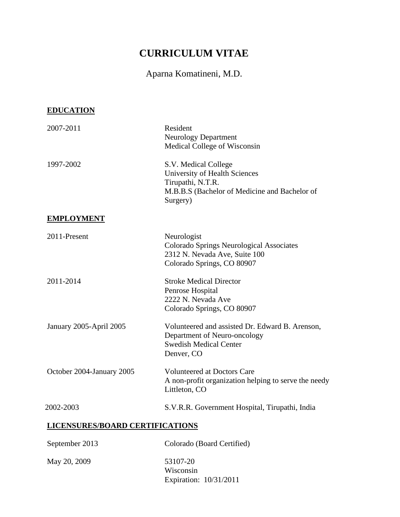# **CURRICULUM VITAE**

## Aparna Komatineni, M.D.

## **EDUCATION**

| 2007-2011                              | Resident<br><b>Neurology Department</b><br>Medical College of Wisconsin                                                                 |
|----------------------------------------|-----------------------------------------------------------------------------------------------------------------------------------------|
| 1997-2002                              | S.V. Medical College<br>University of Health Sciences<br>Tirupathi, N.T.R.<br>M.B.B.S (Bachelor of Medicine and Bachelor of<br>Surgery) |
| <b>EMPLOYMENT</b>                      |                                                                                                                                         |
| 2011-Present                           | Neurologist<br>Colorado Springs Neurological Associates<br>2312 N. Nevada Ave, Suite 100<br>Colorado Springs, CO 80907                  |
| 2011-2014                              | <b>Stroke Medical Director</b><br>Penrose Hospital<br>2222 N. Nevada Ave<br>Colorado Springs, CO 80907                                  |
| January 2005-April 2005                | Volunteered and assisted Dr. Edward B. Arenson,<br>Department of Neuro-oncology<br><b>Swedish Medical Center</b><br>Denver, CO          |
| October 2004-January 2005              | <b>Volunteered at Doctors Care</b><br>A non-profit organization helping to serve the needy<br>Littleton, CO                             |
| 2002-2003                              | S.V.R.R. Government Hospital, Tirupathi, India                                                                                          |
| <b>LICENSURES/BOARD CERTIFICATIONS</b> |                                                                                                                                         |
| September 2013                         | Colorado (Board Certified)                                                                                                              |
| May 20, 2009                           | 53107-20                                                                                                                                |

Wisconsin Expiration: 10/31/2011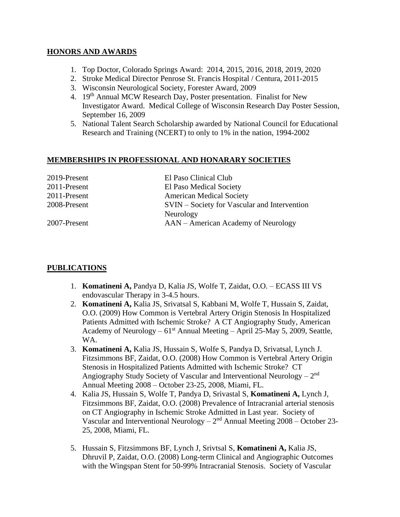#### **HONORS AND AWARDS**

- 1. Top Doctor, Colorado Springs Award: 2014, 2015, 2016, 2018, 2019, 2020
- 2. Stroke Medical Director Penrose St. Francis Hospital / Centura, 2011-2015
- 3. Wisconsin Neurological Society, Forester Award, 2009
- 4. 19<sup>th</sup> Annual MCW Research Day, Poster presentation. Finalist for New Investigator Award. Medical College of Wisconsin Research Day Poster Session, September 16, 2009
- 5. National Talent Search Scholarship awarded by National Council for Educational Research and Training (NCERT) to only to 1% in the nation, 1994-2002

#### **MEMBERSHIPS IN PROFESSIONAL AND HONARARY SOCIETIES**

| 2019-Present | El Paso Clinical Club                        |
|--------------|----------------------------------------------|
| 2011-Present | El Paso Medical Society                      |
| 2011-Present | <b>American Medical Society</b>              |
| 2008-Present | SVIN – Society for Vascular and Intervention |
|              | Neurology                                    |
| 2007-Present | AAN – American Academy of Neurology          |

#### **PUBLICATIONS**

- 1. **Komatineni A,** Pandya D, Kalia JS, Wolfe T, Zaidat, O.O. ECASS III VS endovascular Therapy in 3-4.5 hours.
- 2. **Komatineni A,** Kalia JS, Srivatsal S, Kabbani M, Wolfe T, Hussain S, Zaidat, O.O. (2009) How Common is Vertebral Artery Origin Stenosis In Hospitalized Patients Admitted with Ischemic Stroke? A CT Angiography Study, American Academy of Neurology –  $61<sup>st</sup>$  Annual Meeting – April 25-May 5, 2009, Seattle, WA.
- 3. **Komatineni A,** Kalia JS, Hussain S, Wolfe S, Pandya D, Srivatsal, Lynch J. Fitzsimmons BF, Zaidat, O.O. (2008) How Common is Vertebral Artery Origin Stenosis in Hospitalized Patients Admitted with Ischemic Stroke? CT Angiography Study Society of Vascular and Interventional Neurology  $-2<sup>nd</sup>$ Annual Meeting 2008 – October 23-25, 2008, Miami, FL.
- 4. Kalia JS, Hussain S, Wolfe T, Pandya D, Srivastal S, **Komatineni A,** Lynch J, Fitzsimmons BF, Zaidat, O.O. (2008) Prevalence of Intracranial arterial stenosis on CT Angiography in Ischemic Stroke Admitted in Last year. Society of Vascular and Interventional Neurology  $-2<sup>nd</sup>$  Annual Meeting 2008 – October 23-25, 2008, Miami, FL.
- 5. Hussain S, Fitzsimmons BF, Lynch J, Srivtsal S, **Komatineni A,** Kalia JS, Dhruvil P, Zaidat, O.O. (2008) Long-term Clinical and Angiographic Outcomes with the Wingspan Stent for 50-99% Intracranial Stenosis. Society of Vascular